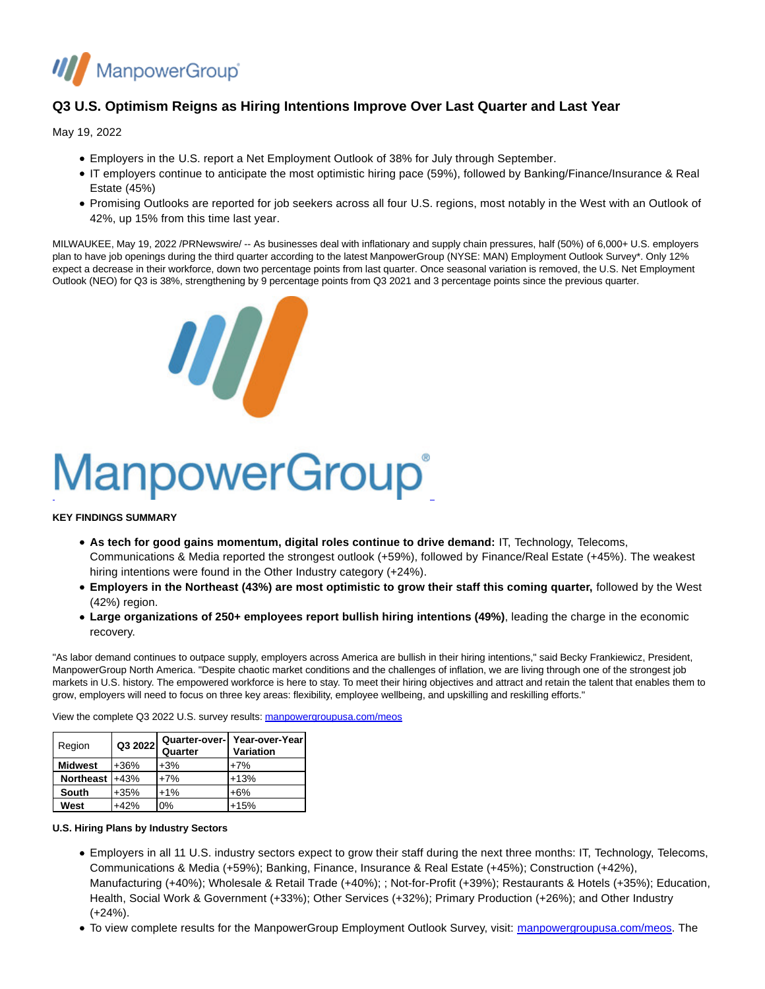

## **Q3 U.S. Optimism Reigns as Hiring Intentions Improve Over Last Quarter and Last Year**

May 19, 2022

- Employers in the U.S. report a Net Employment Outlook of 38% for July through September.
- IT employers continue to anticipate the most optimistic hiring pace (59%), followed by Banking/Finance/Insurance & Real Estate (45%)
- Promising Outlooks are reported for job seekers across all four U.S. regions, most notably in the West with an Outlook of 42%, up 15% from this time last year.

MILWAUKEE, May 19, 2022 /PRNewswire/ -- As businesses deal with inflationary and supply chain pressures, half (50%) of 6,000+ U.S. employers plan to have job openings during the third quarter according to the latest ManpowerGroup (NYSE: MAN) Employment Outlook Survey\*. Only 12% expect a decrease in their workforce, down two percentage points from last quarter. Once seasonal variation is removed, the U.S. Net Employment Outlook (NEO) for Q3 is 38%, strengthening by 9 percentage points from Q3 2021 and 3 percentage points since the previous quarter.



# ManpowerGroup®

#### **KEY FINDINGS SUMMARY**

- **As tech for good gains momentum, digital roles continue to drive demand:** IT, Technology, Telecoms, Communications & Media reported the strongest outlook (+59%), followed by Finance/Real Estate (+45%). The weakest hiring intentions were found in the Other Industry category (+24%).
- **Employers in the Northeast (43%) are most optimistic to grow their staff this coming quarter,** followed by the West (42%) region.
- **Large organizations of 250+ employees report bullish hiring intentions (49%)**, leading the charge in the economic recovery.

"As labor demand continues to outpace supply, employers across America are bullish in their hiring intentions," said Becky Frankiewicz, President, ManpowerGroup North America. "Despite chaotic market conditions and the challenges of inflation, we are living through one of the strongest job markets in U.S. history. The empowered workforce is here to stay. To meet their hiring objectives and attract and retain the talent that enables them to grow, employers will need to focus on three key areas: flexibility, employee wellbeing, and upskilling and reskilling efforts."

View the complete Q3 2022 U.S. survey results[: manpowergroupusa.com/meos](http://manpowergroupusa.com/meos)

| Region           | Q3 2022 | Quarter | Quarter-over-  Year-over-Year<br><b>Variation</b> |
|------------------|---------|---------|---------------------------------------------------|
| <b>Midwest</b>   | $+36%$  | $+3%$   | $+7%$                                             |
| Northeast $+43%$ |         | $+7%$   | $+13%$                                            |
| South            | $+35%$  | $+1%$   | $+6%$                                             |
| West             | $+42%$  | 0%      | $+15%$                                            |

#### **U.S. Hiring Plans by Industry Sectors**

- Employers in all 11 U.S. industry sectors expect to grow their staff during the next three months: IT, Technology, Telecoms, Communications & Media (+59%); Banking, Finance, Insurance & Real Estate (+45%); Construction (+42%), Manufacturing (+40%); Wholesale & Retail Trade (+40%); ; Not-for-Profit (+39%); Restaurants & Hotels (+35%); Education, Health, Social Work & Government (+33%); Other Services (+32%); Primary Production (+26%); and Other Industry (+24%).
- To view complete results for the ManpowerGroup Employment Outlook Survey, visit: [manpowergroupusa.com/meos.](http://manpowergroupusa.com/meos) The